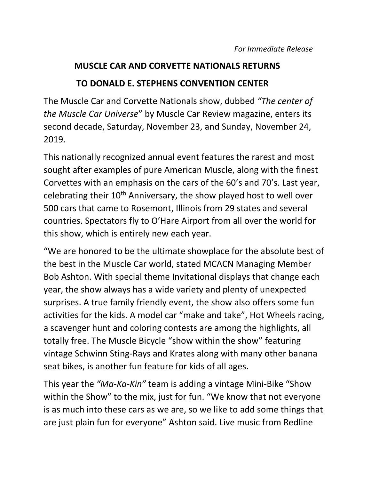## **MUSCLE CAR AND CORVETTE NATIONALS RETURNS**

## **TO DONALD E. STEPHENS CONVENTION CENTER**

The Muscle Car and Corvette Nationals show, dubbed *"The center of the Muscle Car Universe*" by Muscle Car Review magazine, enters its second decade, Saturday, November 23, and Sunday, November 24, 2019.

This nationally recognized annual event features the rarest and most sought after examples of pure American Muscle, along with the finest Corvettes with an emphasis on the cars of the 60's and 70's. Last year, celebrating their 10th Anniversary, the show played host to well over 500 cars that came to Rosemont, Illinois from 29 states and several countries. Spectators fly to O'Hare Airport from all over the world for this show, which is entirely new each year.

"We are honored to be the ultimate showplace for the absolute best of the best in the Muscle Car world, stated MCACN Managing Member Bob Ashton. With special theme Invitational displays that change each year, the show always has a wide variety and plenty of unexpected surprises. A true family friendly event, the show also offers some fun activities for the kids. A model car "make and take", Hot Wheels racing, a scavenger hunt and coloring contests are among the highlights, all totally free. The Muscle Bicycle "show within the show" featuring vintage Schwinn Sting-Rays and Krates along with many other banana seat bikes, is another fun feature for kids of all ages.

This year the *"Ma-Ka-Kin"* team is adding a vintage Mini-Bike "Show within the Show" to the mix, just for fun. "We know that not everyone is as much into these cars as we are, so we like to add some things that are just plain fun for everyone" Ashton said. Live music from Redline